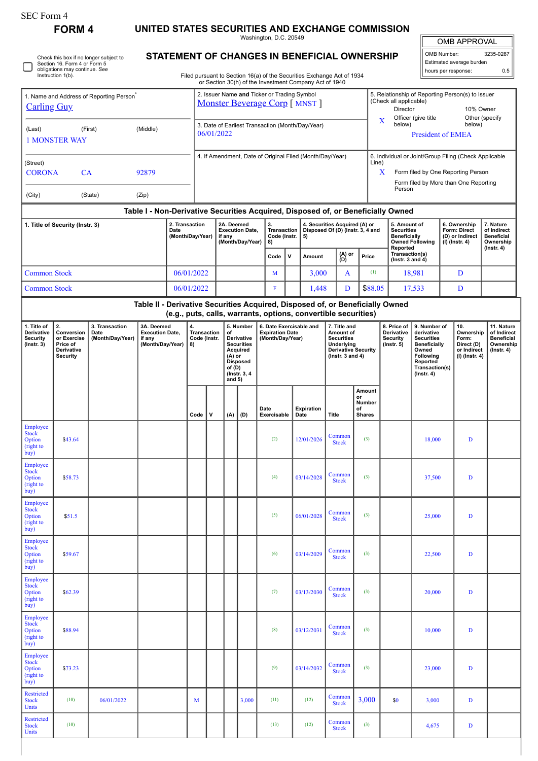| orm |  |
|-----|--|
|-----|--|

 $\frac{1}{2}$  buy)

Employee Stock Option (right to buy)

Employee Stock Option (right to buy)

Restricted Stock Units

Restricted Stock Units

**FORM 4 UNITED STATES SECURITIES AND EXCHANGE COMMISSION**

Washington, D.C. 20549

OMB APPROVAL

Stock  $(3)$  10,000 D

**Common** (3) 33,000 D

 $\begin{array}{|c|c|c|c|c|c|c|c|} \hline \text{Common} & 3,000 & \text{ } & 3,000 & D \\ \hline \end{array}$ 

Stock (3)  $\left| \right|$  4,675 D

| OMB Number:<br>3235-0287 |  |  |  |  |  |  |  |  |  |
|--------------------------|--|--|--|--|--|--|--|--|--|
| Estimated average burden |  |  |  |  |  |  |  |  |  |
| hours per response:      |  |  |  |  |  |  |  |  |  |

Check this box if no longer subject to Section 16. Form 4 or Form 5 obligations may continue. *See* Instruction 1(b). ∩

## **STATEMENT OF CHANGES IN BENEFICIAL OWNERSHIP**

Filed pursuant to Section 16(a) of the Securities Exchange Act of 1934

|                                                                                                                                                                                                                                                         |         |  |                                                                               |                                                |            |                                                                                                                                                              |                                                                                                                                      |       |                                                                       |                     |                                                                                                                           | or Section 30(h) of the Investment Company Act of 1940                                                             |               |                        |                                                                  |                                                                                                     |                                                                                                                                                |              |                                                                          |                                                                                                                                      |                                                                                |
|---------------------------------------------------------------------------------------------------------------------------------------------------------------------------------------------------------------------------------------------------------|---------|--|-------------------------------------------------------------------------------|------------------------------------------------|------------|--------------------------------------------------------------------------------------------------------------------------------------------------------------|--------------------------------------------------------------------------------------------------------------------------------------|-------|-----------------------------------------------------------------------|---------------------|---------------------------------------------------------------------------------------------------------------------------|--------------------------------------------------------------------------------------------------------------------|---------------|------------------------|------------------------------------------------------------------|-----------------------------------------------------------------------------------------------------|------------------------------------------------------------------------------------------------------------------------------------------------|--------------|--------------------------------------------------------------------------|--------------------------------------------------------------------------------------------------------------------------------------|--------------------------------------------------------------------------------|
| 1. Name and Address of Reporting Person <sup>7</sup><br><b>Carling Guy</b>                                                                                                                                                                              |         |  |                                                                               |                                                |            | 2. Issuer Name and Ticker or Trading Symbol<br><b>Monster Beverage Corp</b> [ MNST ]                                                                         |                                                                                                                                      |       |                                                                       |                     |                                                                                                                           |                                                                                                                    |               |                        |                                                                  | 5. Relationship of Reporting Person(s) to Issuer<br>(Check all applicable)<br>Director<br>10% Owner |                                                                                                                                                |              |                                                                          |                                                                                                                                      |                                                                                |
| (Middle)<br>(First)<br>(Last)<br><b>1 MONSTER WAY</b>                                                                                                                                                                                                   |         |  |                                                                               |                                                |            | Officer (give title<br>Other (specify<br>x<br>below)<br>below)<br>3. Date of Earliest Transaction (Month/Day/Year)<br>06/01/2022<br><b>President of EMEA</b> |                                                                                                                                      |       |                                                                       |                     |                                                                                                                           |                                                                                                                    |               |                        |                                                                  |                                                                                                     |                                                                                                                                                |              |                                                                          |                                                                                                                                      |                                                                                |
| (Street)<br><b>CORONA</b><br>CA<br>92879<br>(City)<br>(State)<br>(Zip)                                                                                                                                                                                  |         |  |                                                                               |                                                |            |                                                                                                                                                              |                                                                                                                                      |       |                                                                       |                     |                                                                                                                           | 4. If Amendment, Date of Original Filed (Month/Day/Year)                                                           |               |                        |                                                                  | Line)<br>X                                                                                          | Person                                                                                                                                         |              |                                                                          | 6. Individual or Joint/Group Filing (Check Applicable<br>Form filed by One Reporting Person<br>Form filed by More than One Reporting |                                                                                |
|                                                                                                                                                                                                                                                         |         |  |                                                                               |                                                |            |                                                                                                                                                              |                                                                                                                                      |       |                                                                       |                     |                                                                                                                           |                                                                                                                    |               |                        |                                                                  |                                                                                                     |                                                                                                                                                |              |                                                                          |                                                                                                                                      |                                                                                |
| Table I - Non-Derivative Securities Acquired, Disposed of, or Beneficially Owned<br>2. Transaction<br>1. Title of Security (Instr. 3)<br>Date<br>(Month/Day/Year)                                                                                       |         |  |                                                                               |                                                |            | 2A. Deemed<br><b>Execution Date,</b><br>if any<br>(Month/Day/Year)                                                                                           |                                                                                                                                      |       |                                                                       |                     | 3.<br>4. Securities Acquired (A) or<br><b>Transaction</b><br>Disposed Of (D) (Instr. 3, 4 and<br>Code (Instr.<br>5)<br>8) |                                                                                                                    |               |                        |                                                                  | 5. Amount of<br><b>Securities</b><br><b>Beneficially</b><br><b>Owned Following</b><br>Reported      |                                                                                                                                                |              | 6. Ownership<br><b>Form: Direct</b><br>(D) or Indirect<br>(I) (Instr. 4) |                                                                                                                                      | 7. Nature<br>of Indirect<br><b>Beneficial</b><br>Ownership<br>$($ Instr. 4 $)$ |
|                                                                                                                                                                                                                                                         |         |  |                                                                               |                                                |            |                                                                                                                                                              |                                                                                                                                      |       |                                                                       |                     | $\mathsf{v}$                                                                                                              | Amount                                                                                                             | (A) or<br>(D) |                        | Price                                                            |                                                                                                     | Transaction(s)<br>( $lnstr. 3 and 4$ )                                                                                                         |              |                                                                          |                                                                                                                                      |                                                                                |
| <b>Common Stock</b>                                                                                                                                                                                                                                     |         |  | 06/01/2022                                                                    |                                                |            | M                                                                                                                                                            |                                                                                                                                      | 3,000 |                                                                       | A                   |                                                                                                                           | (1)                                                                                                                | 18,981        |                        | D                                                                |                                                                                                     |                                                                                                                                                |              |                                                                          |                                                                                                                                      |                                                                                |
| <b>Common Stock</b>                                                                                                                                                                                                                                     |         |  |                                                                               |                                                | 06/01/2022 |                                                                                                                                                              |                                                                                                                                      |       |                                                                       | F                   |                                                                                                                           | 1,448                                                                                                              |               | D                      | \$88.05                                                          |                                                                                                     |                                                                                                                                                | 17,533       |                                                                          | D                                                                                                                                    |                                                                                |
|                                                                                                                                                                                                                                                         |         |  | Table II - Derivative Securities Acquired, Disposed of, or Beneficially Owned |                                                |            |                                                                                                                                                              |                                                                                                                                      |       |                                                                       |                     |                                                                                                                           | (e.g., puts, calls, warrants, options, convertible securities)                                                     |               |                        |                                                                  |                                                                                                     |                                                                                                                                                |              |                                                                          |                                                                                                                                      |                                                                                |
| 1. Title of<br>2.<br>3A. Deemed<br>3. Transaction<br>Derivative<br><b>Execution Date,</b><br>Conversion<br>Date<br>(Month/Day/Year)<br>Security<br>or Exercise<br>if any<br>(Month/Day/Year)<br>(Instr. 3)<br>Price of<br>Derivative<br><b>Security</b> |         |  |                                                                               | 4.<br><b>Transaction</b><br>Code (Instr.<br>8) |            |                                                                                                                                                              | 5. Number<br>of<br>Derivative<br><b>Securities</b><br>Acquired<br>$(A)$ or<br><b>Disposed</b><br>of (D)<br>(Instr. 3, 4)<br>and $5)$ |       | 6. Date Exercisable and<br><b>Expiration Date</b><br>(Month/Day/Year) |                     |                                                                                                                           | 7. Title and<br>Amount of<br><b>Securities</b><br>Underlying<br><b>Derivative Security</b><br>( $lnstr. 3 and 4$ ) |               |                        | 8. Price of<br>Derivative<br><b>Security</b><br>$($ lnstr. 5 $)$ |                                                                                                     | 9. Number of<br>derivative<br><b>Securities</b><br><b>Beneficially</b><br>Owned<br>Following<br>Reported<br>Transaction(s)<br>$($ Instr. 4 $)$ | 10.<br>Form: | Ownership<br>Direct (D)<br>or Indirect<br>(I) (Instr. 4)                 | 11. Nature<br>of Indirect<br><b>Beneficial</b><br>Ownership<br>$($ lnstr. 4 $)$                                                      |                                                                                |
|                                                                                                                                                                                                                                                         |         |  |                                                                               |                                                | Code       | $\mathbf v$                                                                                                                                                  | (A)                                                                                                                                  | (D)   |                                                                       | Date<br>Exercisable |                                                                                                                           | <b>Expiration</b><br>Date                                                                                          | Title         | or<br>οf               | Amount<br>Number<br><b>Shares</b>                                |                                                                                                     |                                                                                                                                                |              |                                                                          |                                                                                                                                      |                                                                                |
| Employee<br><b>Stock</b><br>Option<br>(right to<br>buy)                                                                                                                                                                                                 | \$43.64 |  |                                                                               |                                                |            |                                                                                                                                                              |                                                                                                                                      |       |                                                                       | (2)                 |                                                                                                                           | 12/01/2026                                                                                                         |               | Common<br><b>Stock</b> | (3)                                                              |                                                                                                     |                                                                                                                                                | 18,000       |                                                                          | D                                                                                                                                    |                                                                                |
| Employee<br><b>Stock</b><br>Option<br>(right to<br>buy)                                                                                                                                                                                                 | \$58.73 |  |                                                                               |                                                |            |                                                                                                                                                              |                                                                                                                                      |       |                                                                       | (4)                 |                                                                                                                           | 03/14/2028                                                                                                         |               | Common<br><b>Stock</b> | (3)                                                              |                                                                                                     |                                                                                                                                                | 37,500       |                                                                          | D                                                                                                                                    |                                                                                |
| Employee<br><b>Stock</b><br>Option<br>(right to<br>buy)                                                                                                                                                                                                 | \$51.5  |  |                                                                               |                                                |            |                                                                                                                                                              |                                                                                                                                      |       |                                                                       | (5)                 |                                                                                                                           | 06/01/2028                                                                                                         |               | Common<br><b>Stock</b> | (3)                                                              |                                                                                                     |                                                                                                                                                | 25,000       |                                                                          | D                                                                                                                                    |                                                                                |
| Employee<br><b>Stock</b><br>Option<br>(right to<br>buy)                                                                                                                                                                                                 | \$59.67 |  |                                                                               |                                                |            |                                                                                                                                                              |                                                                                                                                      |       |                                                                       | (6)                 |                                                                                                                           | 03/14/2029                                                                                                         |               | Common<br><b>Stock</b> | (3)                                                              |                                                                                                     |                                                                                                                                                | 22,500       |                                                                          | D                                                                                                                                    |                                                                                |
| Employee<br><b>Stock</b><br>Option<br>(right to                                                                                                                                                                                                         | \$62.39 |  |                                                                               |                                                |            |                                                                                                                                                              |                                                                                                                                      |       |                                                                       | (7)                 |                                                                                                                           | 03/13/2030                                                                                                         |               | Common<br><b>Stock</b> | (3)                                                              |                                                                                                     |                                                                                                                                                | 20,000       |                                                                          | D                                                                                                                                    |                                                                                |

\$88.94 (8) 03/12/2031 Common

\$73.23 (9) 03/14/2032 Common

 $(10)$  (13) (12) Common (14)

(10)  $0.6/01/2022$  M 3,000 (11) (12)